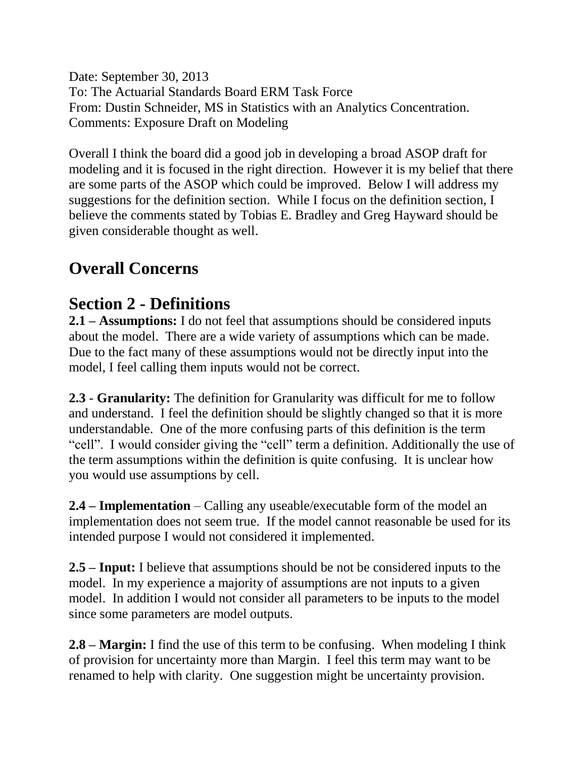Date: September 30, 2013 To: The Actuarial Standards Board ERM Task Force From: Dustin Schneider, MS in Statistics with an Analytics Concentration. Comments: Exposure Draft on Modeling

Overall I think the board did a good job in developing a broad ASOP draft for modeling and it is focused in the right direction. However it is my belief that there are some parts of the ASOP which could be improved. Below I will address my suggestions for the definition section. While I focus on the definition section, I believe the comments stated by Tobias E. Bradley and Greg Hayward should be given considerable thought as well.

## **Overall Concerns**

## **Section 2 - Definitions**

**2.1 – Assumptions:** I do not feel that assumptions should be considered inputs about the model. There are a wide variety of assumptions which can be made. Due to the fact many of these assumptions would not be directly input into the model, I feel calling them inputs would not be correct.

**2.3** - **Granularity:** The definition for Granularity was difficult for me to follow and understand. I feel the definition should be slightly changed so that it is more understandable. One of the more confusing parts of this definition is the term "cell". I would consider giving the "cell" term a definition. Additionally the use of the term assumptions within the definition is quite confusing. It is unclear how you would use assumptions by cell.

**2.4 – Implementation** – Calling any useable/executable form of the model an implementation does not seem true. If the model cannot reasonable be used for its intended purpose I would not considered it implemented.

**2.5 – Input:** I believe that assumptions should be not be considered inputs to the model. In my experience a majority of assumptions are not inputs to a given model. In addition I would not consider all parameters to be inputs to the model since some parameters are model outputs.

**2.8 – Margin:** I find the use of this term to be confusing. When modeling I think of provision for uncertainty more than Margin. I feel this term may want to be renamed to help with clarity. One suggestion might be uncertainty provision.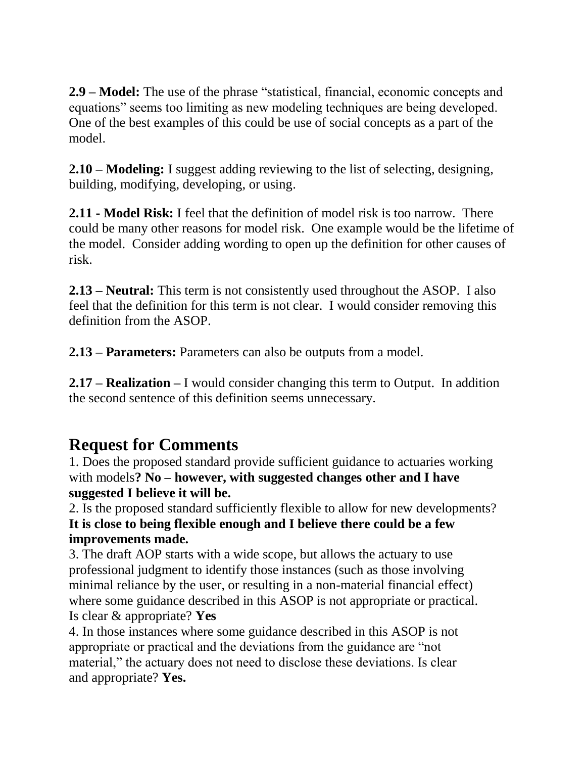**2.9 – Model:** The use of the phrase "statistical, financial, economic concepts and equations" seems too limiting as new modeling techniques are being developed. One of the best examples of this could be use of social concepts as a part of the model.

**2.10 – Modeling:** I suggest adding reviewing to the list of selecting, designing, building, modifying, developing, or using.

**2.11 - Model Risk:** I feel that the definition of model risk is too narrow. There could be many other reasons for model risk. One example would be the lifetime of the model. Consider adding wording to open up the definition for other causes of risk.

**2.13 – Neutral:** This term is not consistently used throughout the ASOP. I also feel that the definition for this term is not clear. I would consider removing this definition from the ASOP.

**2.13 – Parameters:** Parameters can also be outputs from a model.

**2.17 – Realization –** I would consider changing this term to Output. In addition the second sentence of this definition seems unnecessary.

## **Request for Comments**

1. Does the proposed standard provide sufficient guidance to actuaries working with models**? No – however, with suggested changes other and I have suggested I believe it will be.** 

2. Is the proposed standard sufficiently flexible to allow for new developments? **It is close to being flexible enough and I believe there could be a few improvements made.**

3. The draft AOP starts with a wide scope, but allows the actuary to use professional judgment to identify those instances (such as those involving minimal reliance by the user, or resulting in a non-material financial effect) where some guidance described in this ASOP is not appropriate or practical. Is clear & appropriate? **Yes**

4. In those instances where some guidance described in this ASOP is not appropriate or practical and the deviations from the guidance are "not material," the actuary does not need to disclose these deviations. Is clear and appropriate? **Yes.**